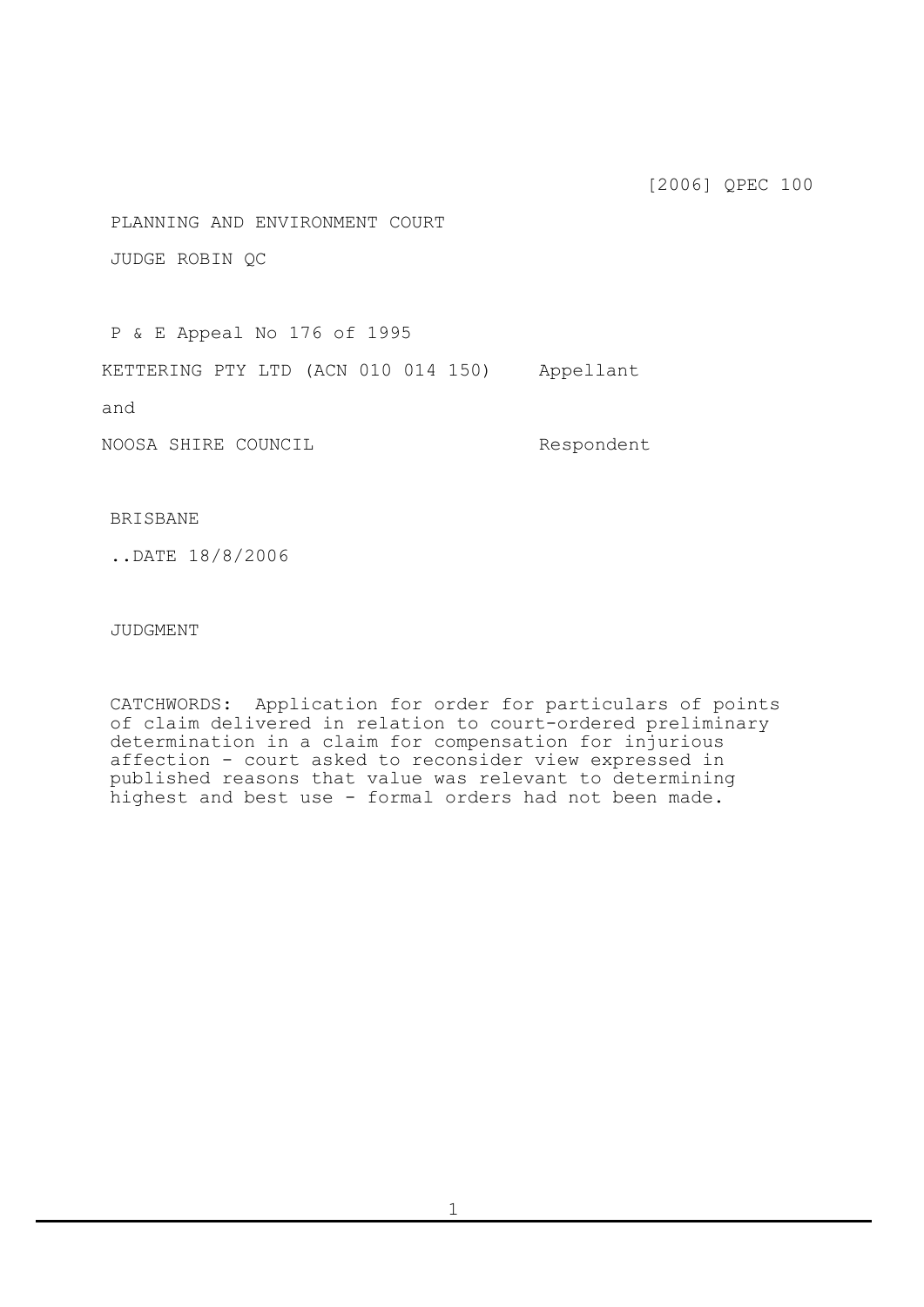[2006] QPEC 100

PLANNING AND ENVIRONMENT COURT

JUDGE ROBIN QC

P & E Appeal No 176 of 1995

KETTERING PTY LTD (ACN 010 014 150) Appellant

and

NOOSA SHIRE COUNCIL Respondent

## BRISBANE

..DATE 18/8/2006

JUDGMENT

CATCHWORDS: Application for order for particulars of points of claim delivered in relation to court-ordered preliminary determination in a claim for compensation for injurious affection - court asked to reconsider view expressed in published reasons that value was relevant to determining highest and best use - formal orders had not been made.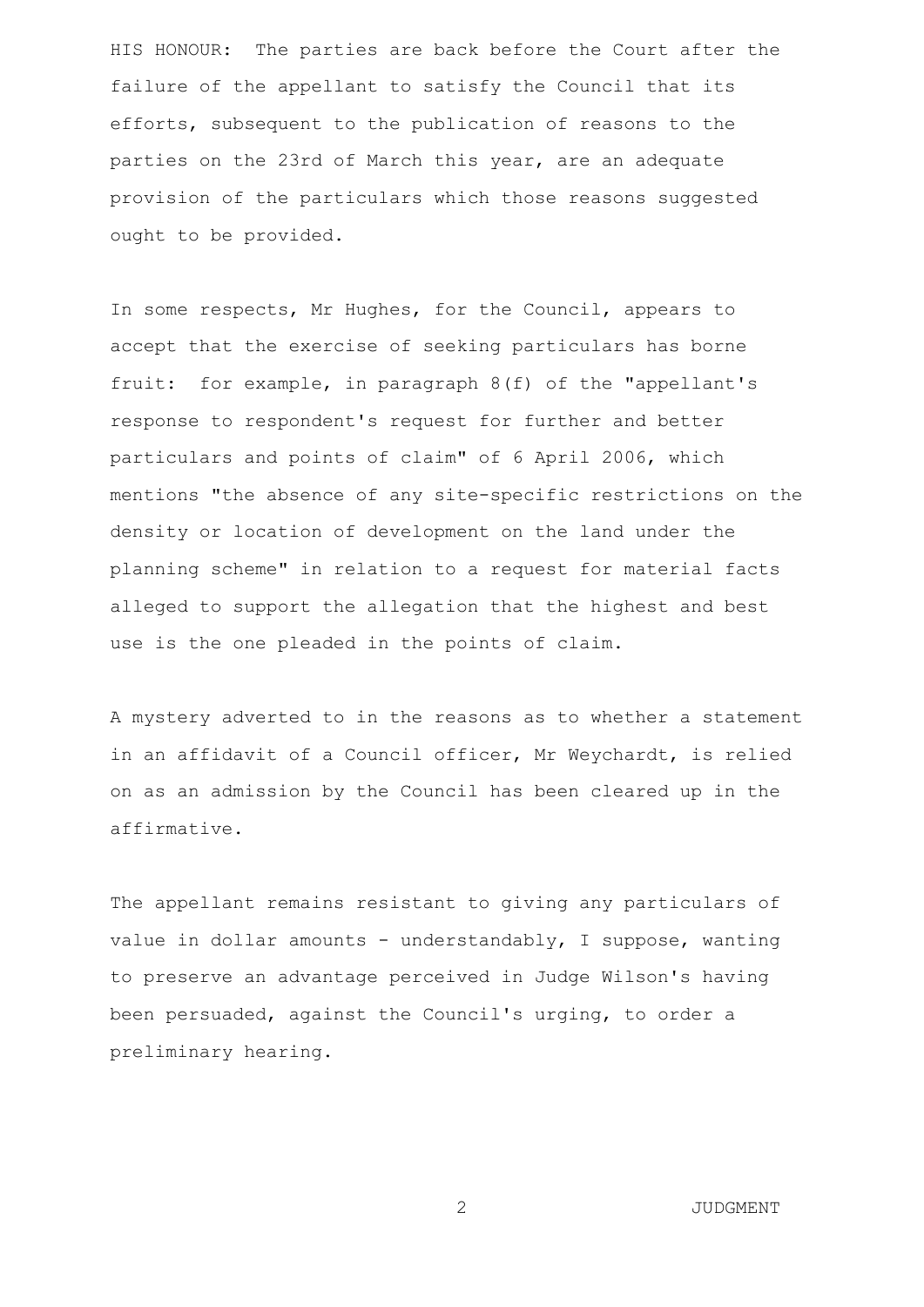HIS HONOUR: The parties are back before the Court after the failure of the appellant to satisfy the Council that its efforts, subsequent to the publication of reasons to the parties on the 23rd of March this year, are an adequate provision of the particulars which those reasons suggested ought to be provided.

In some respects, Mr Hughes, for the Council, appears to accept that the exercise of seeking particulars has borne fruit: for example, in paragraph 8(f) of the "appellant's response to respondent's request for further and better particulars and points of claim" of 6 April 2006, which mentions "the absence of any site-specific restrictions on the density or location of development on the land under the planning scheme" in relation to a request for material facts alleged to support the allegation that the highest and best use is the one pleaded in the points of claim.

A mystery adverted to in the reasons as to whether a statement in an affidavit of a Council officer, Mr Weychardt, is relied on as an admission by the Council has been cleared up in the affirmative.

The appellant remains resistant to giving any particulars of value in dollar amounts - understandably, I suppose, wanting to preserve an advantage perceived in Judge Wilson's having been persuaded, against the Council's urging, to order a preliminary hearing.

2 JUDGMENT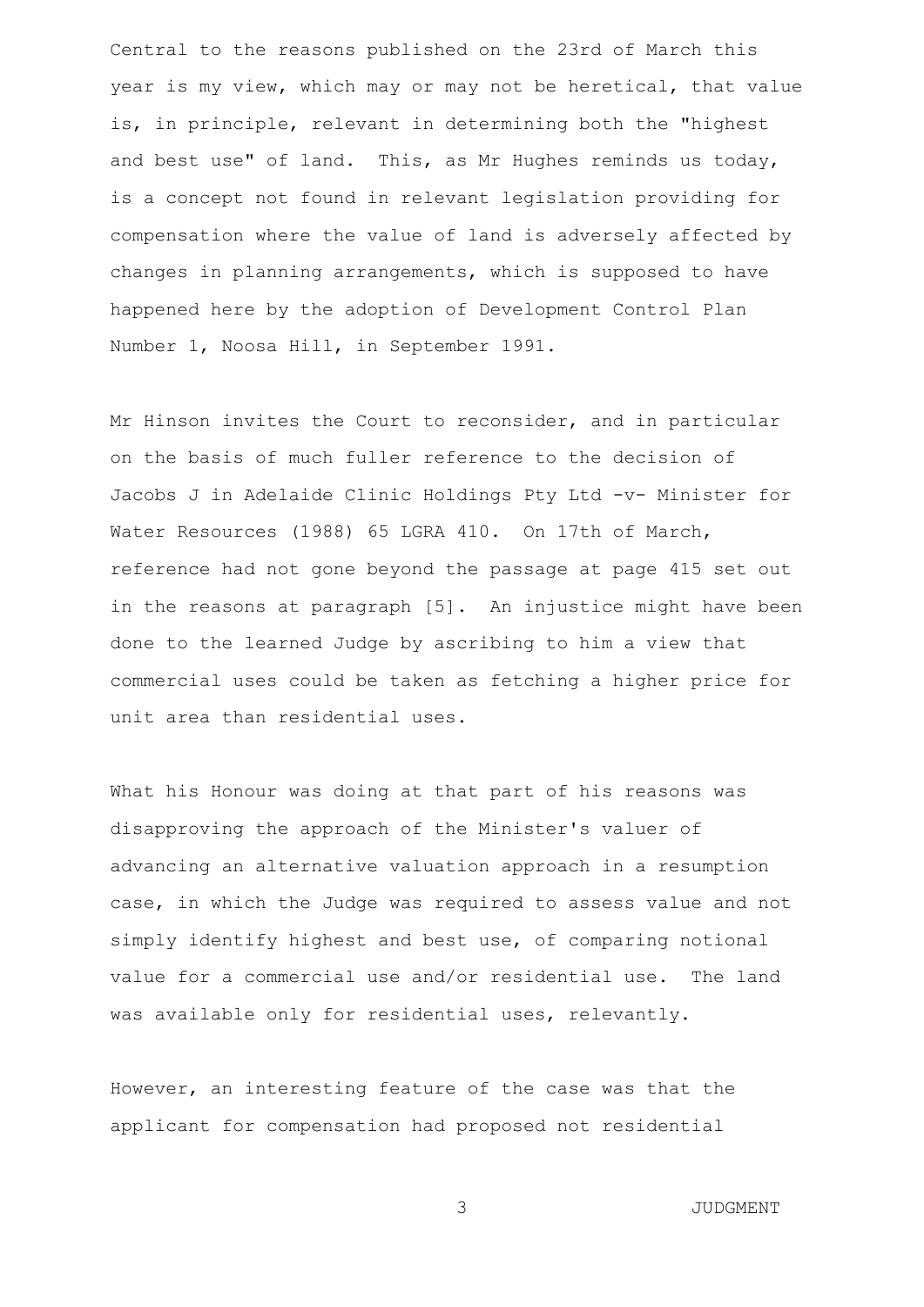Central to the reasons published on the 23rd of March this year is my view, which may or may not be heretical, that value is, in principle, relevant in determining both the "highest and best use" of land. This, as Mr Hughes reminds us today, is a concept not found in relevant legislation providing for compensation where the value of land is adversely affected by changes in planning arrangements, which is supposed to have happened here by the adoption of Development Control Plan Number 1, Noosa Hill, in September 1991.

Mr Hinson invites the Court to reconsider, and in particular on the basis of much fuller reference to the decision of Jacobs J in Adelaide Clinic Holdings Pty Ltd -v- Minister for Water Resources (1988) 65 LGRA 410. On 17th of March, reference had not gone beyond the passage at page 415 set out in the reasons at paragraph [5]. An injustice might have been done to the learned Judge by ascribing to him a view that commercial uses could be taken as fetching a higher price for unit area than residential uses.

What his Honour was doing at that part of his reasons was disapproving the approach of the Minister's valuer of advancing an alternative valuation approach in a resumption case, in which the Judge was required to assess value and not simply identify highest and best use, of comparing notional value for a commercial use and/or residential use. The land was available only for residential uses, relevantly.

However, an interesting feature of the case was that the applicant for compensation had proposed not residential

3 JUDGMENT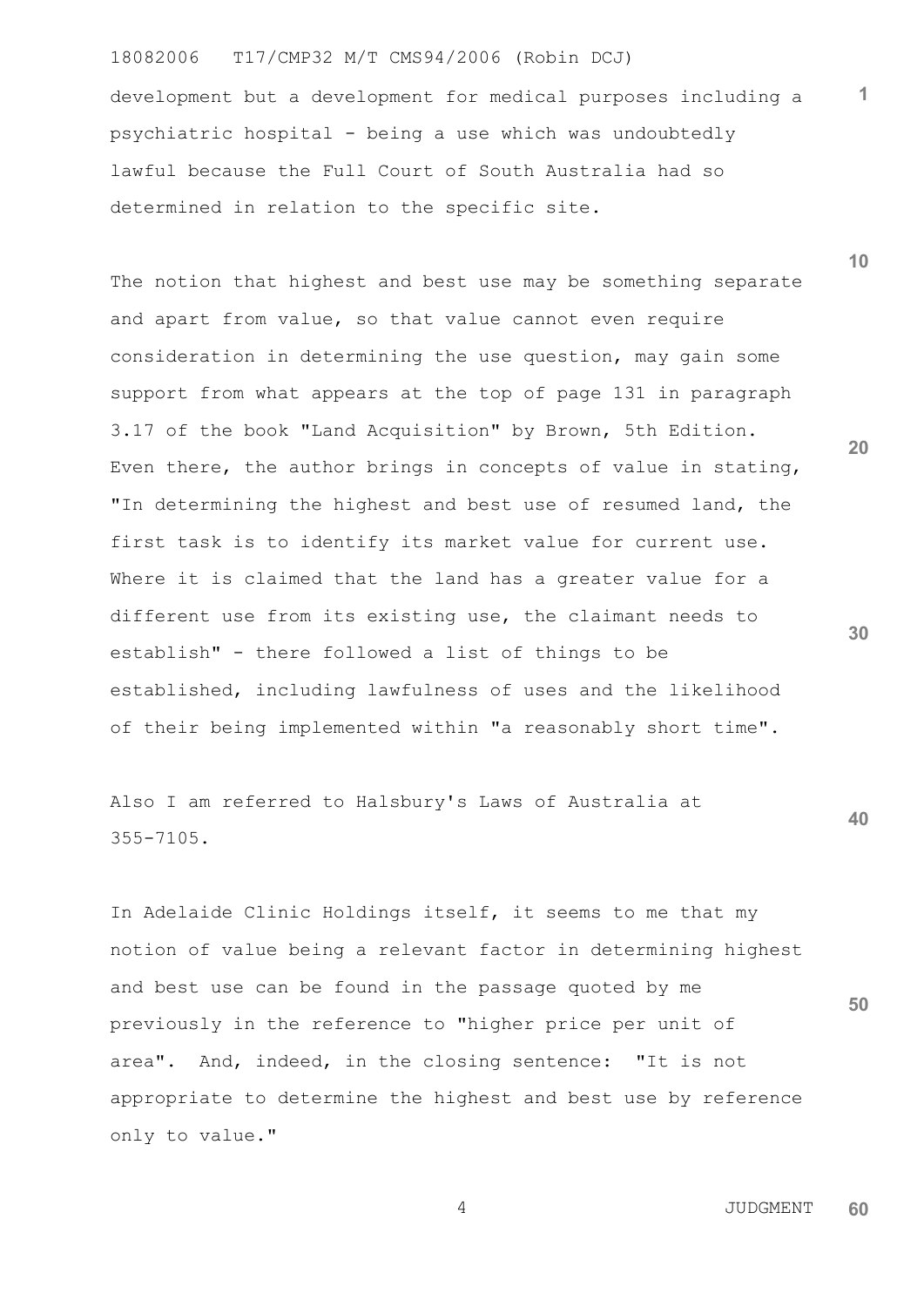## 18082006 T17/CMP32 M/T CMS94/2006 (Robin DCJ)

development but a development for medical purposes including a psychiatric hospital - being a use which was undoubtedly lawful because the Full Court of South Australia had so determined in relation to the specific site.

The notion that highest and best use may be something separate and apart from value, so that value cannot even require consideration in determining the use question, may gain some support from what appears at the top of page 131 in paragraph 3.17 of the book "Land Acquisition" by Brown, 5th Edition. Even there, the author brings in concepts of value in stating, "In determining the highest and best use of resumed land, the first task is to identify its market value for current use. Where it is claimed that the land has a greater value for a different use from its existing use, the claimant needs to establish" - there followed a list of things to be established, including lawfulness of uses and the likelihood of their being implemented within "a reasonably short time".

Also I am referred to Halsbury's Laws of Australia at 355-7105.

In Adelaide Clinic Holdings itself, it seems to me that my notion of value being a relevant factor in determining highest and best use can be found in the passage quoted by me previously in the reference to "higher price per unit of area". And, indeed, in the closing sentence: "It is not appropriate to determine the highest and best use by reference only to value."

**10**

**1**

**20**

**30**

**40**

**50**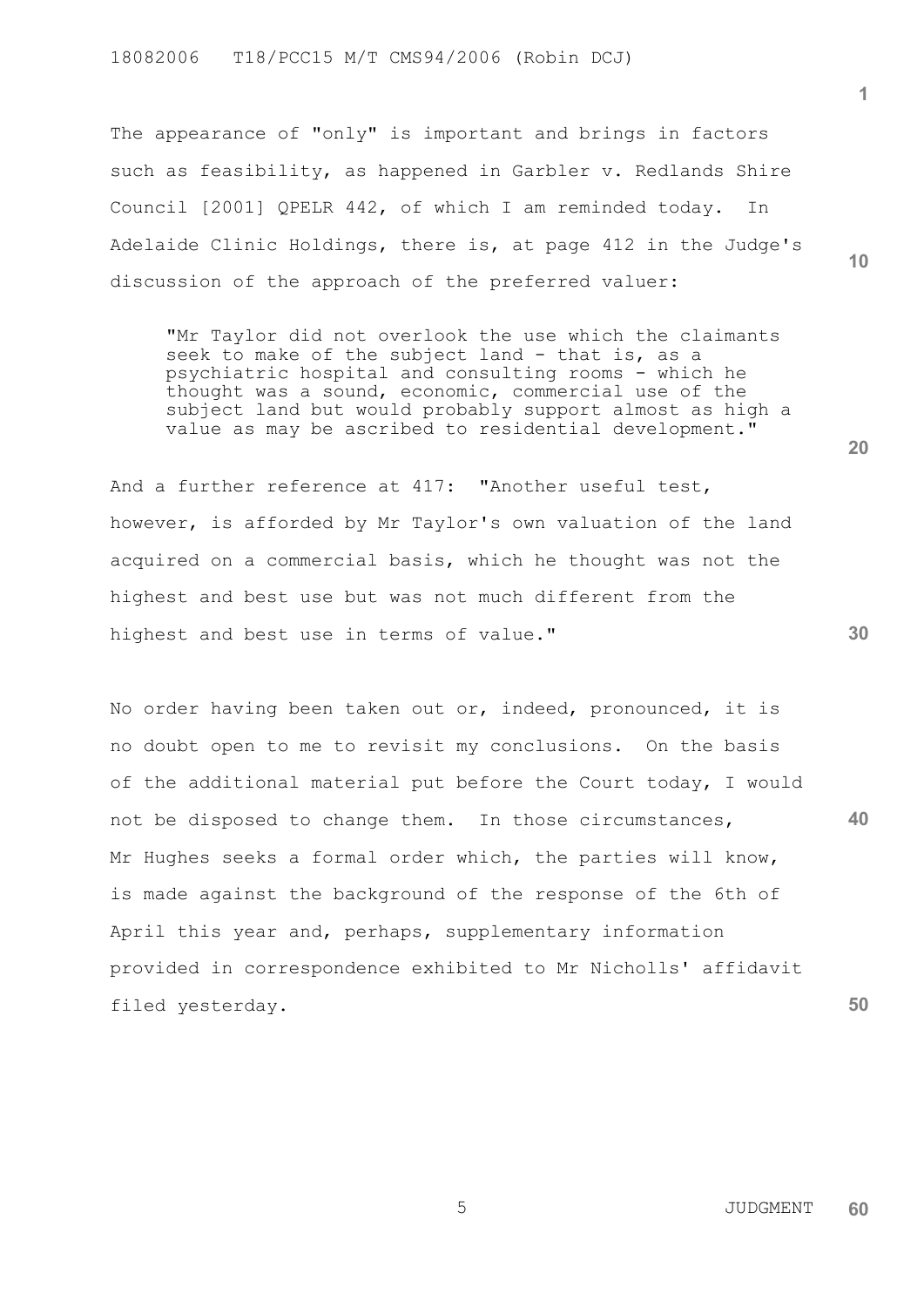The appearance of "only" is important and brings in factors such as feasibility, as happened in Garbler v. Redlands Shire Council [2001] QPELR 442, of which I am reminded today. In Adelaide Clinic Holdings, there is, at page 412 in the Judge's discussion of the approach of the preferred valuer:

"Mr Taylor did not overlook the use which the claimants seek to make of the subject land - that is, as a psychiatric hospital and consulting rooms - which he thought was a sound, economic, commercial use of the subject land but would probably support almost as high a value as may be ascribed to residential development."

And a further reference at 417: "Another useful test, however, is afforded by Mr Taylor's own valuation of the land acquired on a commercial basis, which he thought was not the highest and best use but was not much different from the highest and best use in terms of value."

**40 50** No order having been taken out or, indeed, pronounced, it is no doubt open to me to revisit my conclusions. On the basis of the additional material put before the Court today, I would not be disposed to change them. In those circumstances, Mr Hughes seeks a formal order which, the parties will know, is made against the background of the response of the 6th of April this year and, perhaps, supplementary information provided in correspondence exhibited to Mr Nicholls' affidavit filed yesterday.

**10**

**1**

**20**

**30**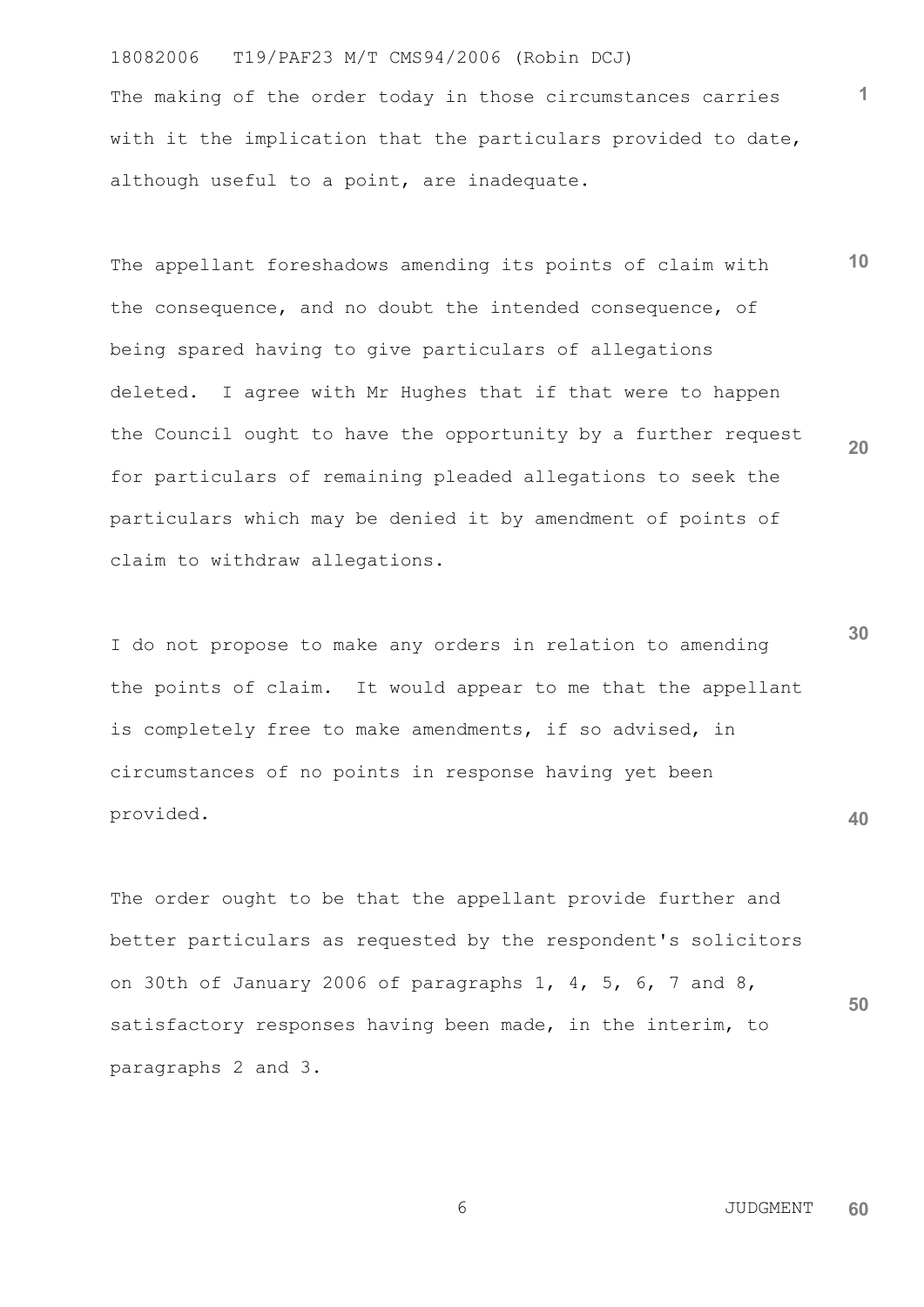## 18082006 T19/PAF23 M/T CMS94/2006 (Robin DCJ)

The making of the order today in those circumstances carries with it the implication that the particulars provided to date, although useful to a point, are inadequate.

**10 20** The appellant foreshadows amending its points of claim with the consequence, and no doubt the intended consequence, of being spared having to give particulars of allegations deleted. I agree with Mr Hughes that if that were to happen the Council ought to have the opportunity by a further request for particulars of remaining pleaded allegations to seek the particulars which may be denied it by amendment of points of claim to withdraw allegations.

**30 40** I do not propose to make any orders in relation to amending the points of claim. It would appear to me that the appellant is completely free to make amendments, if so advised, in circumstances of no points in response having yet been provided.

The order ought to be that the appellant provide further and better particulars as requested by the respondent's solicitors on 30th of January 2006 of paragraphs 1, 4, 5, 6, 7 and 8, satisfactory responses having been made, in the interim, to paragraphs 2 and 3.

contract to the contract of the contract of the contract of the contract of the contract of the contract of the contract of the contract of the contract of the contract of the contract of the contract of the contract of th **60**

**50**

**1**